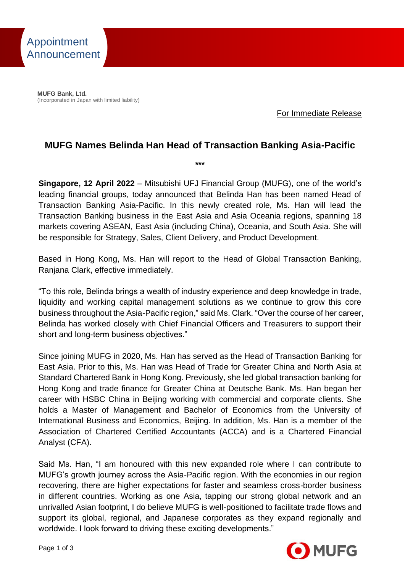

**MUFG Bank, Ltd.** (Incorporated in Japan with limited liability)

For Immediate Release

## **MUFG Names Belinda Han Head of Transaction Banking Asia-Pacific**

**\*\*\***

**Singapore, 12 April 2022** – Mitsubishi UFJ Financial Group (MUFG), one of the world's leading financial groups, today announced that Belinda Han has been named Head of Transaction Banking Asia-Pacific. In this newly created role, Ms. Han will lead the Transaction Banking business in the East Asia and Asia Oceania regions, spanning 18 markets covering ASEAN, East Asia (including China), Oceania, and South Asia. She will be responsible for Strategy, Sales, Client Delivery, and Product Development.

Based in Hong Kong, Ms. Han will report to the Head of Global Transaction Banking, Ranjana Clark, effective immediately.

"To this role, Belinda brings a wealth of industry experience and deep knowledge in trade, liquidity and working capital management solutions as we continue to grow this core business throughout the Asia-Pacific region," said Ms. Clark. "Over the course of her career, Belinda has worked closely with Chief Financial Officers and Treasurers to support their short and long-term business objectives."

Since joining MUFG in 2020, Ms. Han has served as the Head of Transaction Banking for East Asia. Prior to this, Ms. Han was Head of Trade for Greater China and North Asia at Standard Chartered Bank in Hong Kong. Previously, she led global transaction banking for Hong Kong and trade finance for Greater China at Deutsche Bank. Ms. Han began her career with HSBC China in Beijing working with commercial and corporate clients. She holds a Master of Management and Bachelor of Economics from the University of International Business and Economics, Beijing. In addition, Ms. Han is a member of the Association of Chartered Certified Accountants (ACCA) and is a Chartered Financial Analyst (CFA).

Said Ms. Han, "I am honoured with this new expanded role where I can contribute to MUFG's growth journey across the Asia-Pacific region. With the economies in our region recovering, there are higher expectations for faster and seamless cross-border business in different countries. Working as one Asia, tapping our strong global network and an unrivalled Asian footprint, I do believe MUFG is well-positioned to facilitate trade flows and support its global, regional, and Japanese corporates as they expand regionally and worldwide. I look forward to driving these exciting developments."

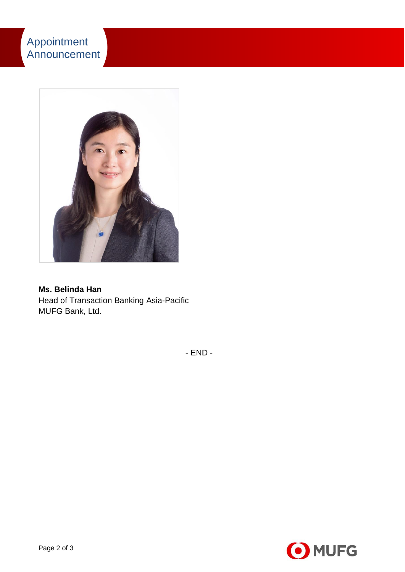

**Ms. Belinda Han** Head of Transaction Banking Asia-Pacific MUFG Bank, Ltd.

- END -